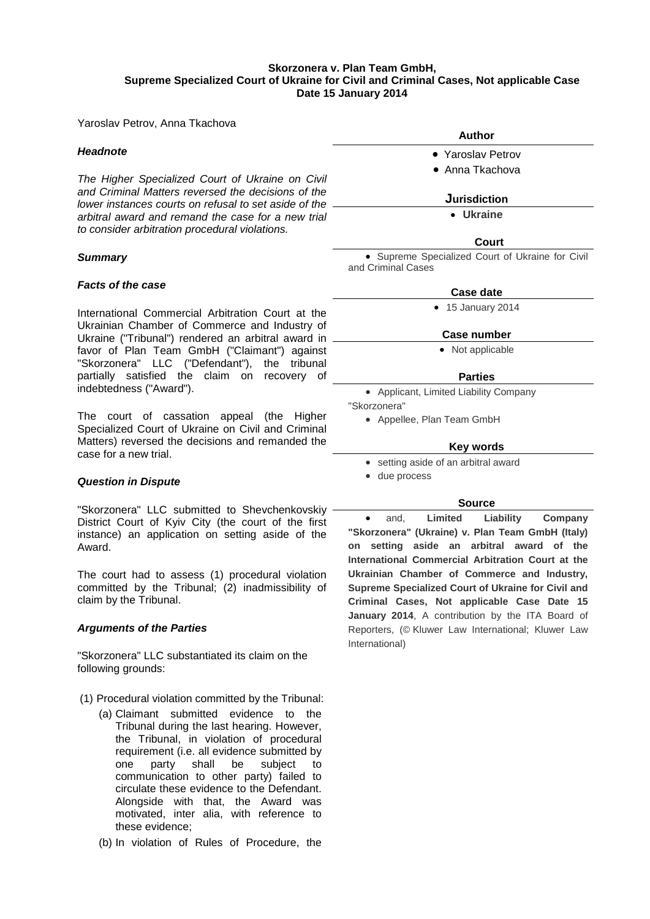# **Skorzonera v. Plan Team GmbH, Supreme Specialized Court of Ukraine for Civil and Criminal Cases, Not applicable Case Date 15 January 2014**

Yaroslav Petrov, Anna Tkachova

# *Headnote*

*The Higher Specialized Court of Ukraine on Civil and Criminal Matters reversed the decisions of the lower instances courts on refusal to set aside of the arbitral award and remand the case for a new trial to consider arbitration procedural violations.*

# *Summary*

# *Facts of the case*

International Commercial Arbitration Court at the Ukrainian Chamber of Commerce and Industry of Ukraine ("Tribunal") rendered an arbitral award in favor of Plan Team GmbH ("Claimant") against "Skorzonera" LLC ("Defendant"), the tribunal partially satisfied the claim on recovery of indebtedness ("Award").

The court of cassation appeal (the Higher Specialized Court of Ukraine on Civil and Criminal Matters) reversed the decisions and remanded the case for a new trial.

# *Question in Dispute*

"Skorzonera" LLC submitted to Shevchenkovskiy District Court of Kyiv City (the court of the first instance) an application on setting aside of the Award.

The court had to assess (1) procedural violation committed by the Tribunal; (2) inadmissibility of claim by the Tribunal.

# *Arguments of the Parties*

"Skorzonera" LLC substantiated its claim on the following grounds:

- (1) Procedural violation committed by the Tribunal:
	- (a) Claimant submitted evidence to the Tribunal during the last hearing. However, the Tribunal, in violation of procedural requirement (i.e. all evidence submitted by one party shall be subject to communication to other party) failed to circulate these evidence to the Defendant. Alongside with that, the Award was motivated, inter alia, with reference to these evidence;
	- (b) In violation of Rules of Procedure, the

**Author** • Yaroslav Petrov • Anna Tkachova

# **Jurisdiction**

• **[Ukraine](http://www.kluwerarbitration.com/CommonUI/organizations.aspx?jurisdiction=Ukraine)**

# **Court**

• Supreme Specialized Court of Ukraine for Civil and Criminal Cases

## **Case date**

• 15 January 2014

#### **Case number**

• Not applicable

# **Parties**

- Applicant, Limited Liability Company "Skorzonera"
	- Appellee, Plan Team GmbH

# **Key words**

- setting aside of an arbitral award
- due process

# **Source**

• and, **Limited Liability Company "Skorzonera" (Ukraine) v. Plan Team GmbH (Italy) on setting aside an arbitral award of the International Commercial Arbitration Court at the Ukrainian Chamber of Commerce and Industry, Supreme Specialized Court of Ukraine for Civil and Criminal Cases, Not applicable Case Date 15 January 2014**, A contribution by the ITA Board of Reporters, (© Kluwer Law International; Kluwer Law International)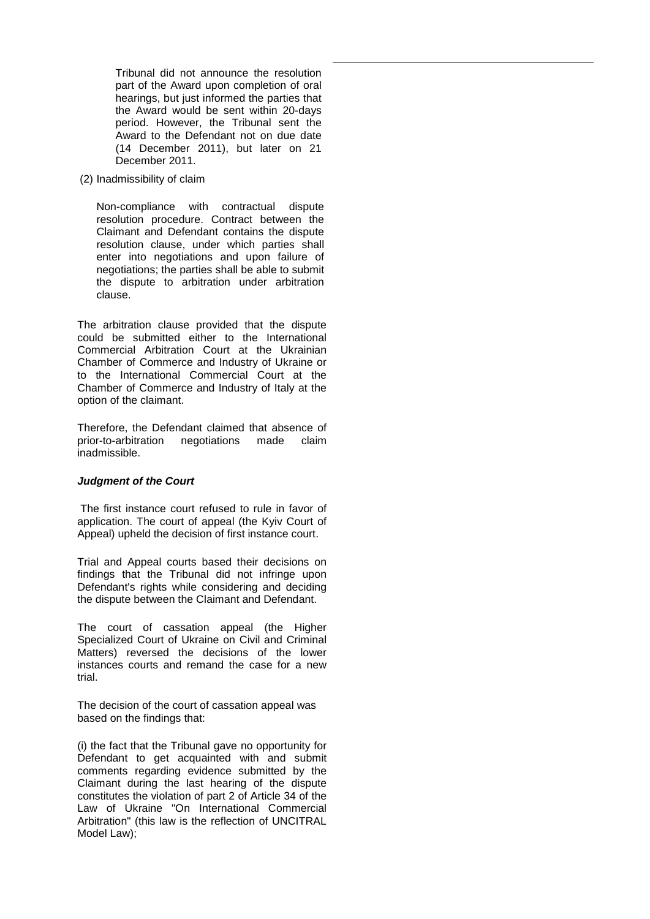Tribunal did not announce the resolution part of the Award upon completion of oral hearings, but just informed the parties that the Award would be sent within 20-days period. However, the Tribunal sent the Award to the Defendant not on due date (14 December 2011), but later on 21 December 2011.

(2) Inadmissibility of claim

Non-compliance with contractual dispute resolution procedure. Contract between the Claimant and Defendant contains the dispute resolution clause, under which parties shall enter into negotiations and upon failure of negotiations; the parties shall be able to submit the dispute to arbitration under arbitration clause.

The arbitration clause provided that the dispute could be submitted either to the International Commercial Arbitration Court at the Ukrainian Chamber of Commerce and Industry of Ukraine or to the International Commercial Court at the Chamber of Commerce and Industry of Italy at the option of the claimant.

Therefore, the Defendant claimed that absence of prior-to-arbitration negotiations made claim inadmissible.

# *Judgment of the Court*

The first instance court refused to rule in favor of application. The court of appeal (the Kyiv Court of Appeal) upheld the decision of first instance court.

Trial and Appeal courts based their decisions on findings that the Tribunal did not infringe upon Defendant's rights while considering and deciding the dispute between the Claimant and Defendant.

The court of cassation appeal (the Higher Specialized Court of Ukraine on Civil and Criminal Matters) reversed the decisions of the lower instances courts and remand the case for a new trial.

The decision of the court of cassation appeal was based on the findings that:

(i) the fact that the Tribunal gave no opportunity for Defendant to get acquainted with and submit comments regarding evidence submitted by the Claimant during the last hearing of the dispute constitutes the violation of part 2 of Article 34 of the Law of Ukraine "On International Commercial Arbitration" (this law is the reflection of UNCITRAL Model Law);